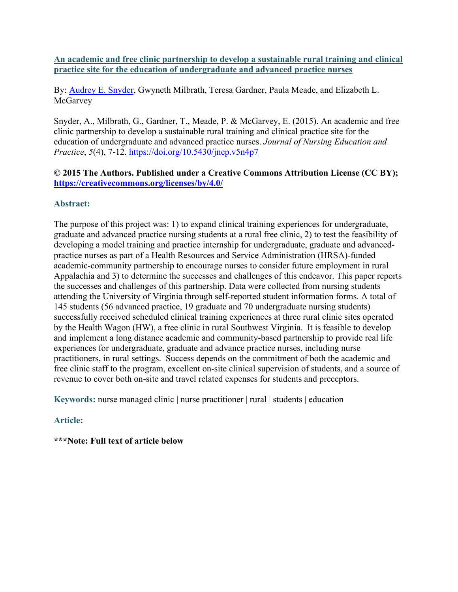**An academic and free clinic partnership to develop a sustainable rural training and clinical practice site for the education of undergraduate and advanced practice nurses**

By: **Audrey E. Snyder, Gwyneth Milbrath, Teresa Gardner, Paula Meade, and Elizabeth L. McGarvey** 

Snyder, A., Milbrath, G., Gardner, T., Meade, P. & McGarvey, E. (2015). An academic and free clinic partnership to develop a sustainable rural training and clinical practice site for the education of undergraduate and advanced practice nurses. *Journal of Nursing Education and Practice*, *5*(4), 7-12.<https://doi.org/10.5430/jnep.v5n4p7>

# **© 2015 The Authors. Published under a Creative Commons Attribution License (CC BY); <https://creativecommons.org/licenses/by/4.0/>**

# **Abstract:**

The purpose of this project was: 1) to expand clinical training experiences for undergraduate, graduate and advanced practice nursing students at a rural free clinic, 2) to test the feasibility of developing a model training and practice internship for undergraduate, graduate and advancedpractice nurses as part of a Health Resources and Service Administration (HRSA)-funded academic-community partnership to encourage nurses to consider future employment in rural Appalachia and 3) to determine the successes and challenges of this endeavor. This paper reports the successes and challenges of this partnership. Data were collected from nursing students attending the University of Virginia through self-reported student information forms. A total of 145 students (56 advanced practice, 19 graduate and 70 undergraduate nursing students) successfully received scheduled clinical training experiences at three rural clinic sites operated by the Health Wagon (HW), a free clinic in rural Southwest Virginia. It is feasible to develop and implement a long distance academic and community-based partnership to provide real life experiences for undergraduate, graduate and advance practice nurses, including nurse practitioners, in rural settings. Success depends on the commitment of both the academic and free clinic staff to the program, excellent on-site clinical supervision of students, and a source of revenue to cover both on-site and travel related expenses for students and preceptors.

**Keywords:** nurse managed clinic | nurse practitioner | rural | students | education

# **Article:**

# **\*\*\*Note: Full text of article below**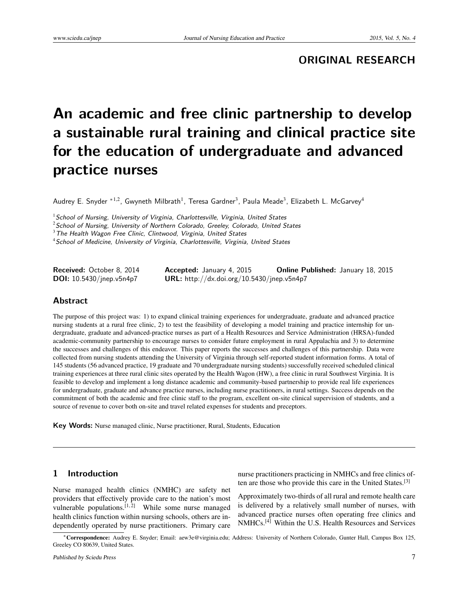**ORIGINAL RESEARCH**

# **An academic and free clinic partnership to develop a sustainable rural training and clinical practice site for the education of undergraduate and advanced practice nurses**

Audrey E. Snyder  $^{\ast1,2}$ , Gwyneth Milbrath $^1$ , Teresa Gardner $^3$ , Paula Meade $^3$ , Elizabeth L. McGarvey $^4$ 

 $1$ School of Nursing, University of Virginia, Charlottesville, Virginia, United States

 $2$ School of Nursing, University of Northern Colorado, Greeley, Colorado, United States

 $3$  The Health Wagon Free Clinic, Clintwood, Virginia, United States

<sup>4</sup> School of Medicine, University of Virginia, Charlottesville, Virginia, United States

| <b>Received:</b> October 8, 2014   | <b>Accepted:</b> January 4, 2015           | <b>Online Published:</b> January 18, 2015 |
|------------------------------------|--------------------------------------------|-------------------------------------------|
| <b>DOI:</b> $10.5430/j$ nep.v5n4p7 | URL: http://dx.doi.org/10.5430/jnep.v5n4p7 |                                           |

#### **Abstract**

The purpose of this project was: 1) to expand clinical training experiences for undergraduate, graduate and advanced practice nursing students at a rural free clinic, 2) to test the feasibility of developing a model training and practice internship for undergraduate, graduate and advanced-practice nurses as part of a Health Resources and Service Administration (HRSA)-funded academic-community partnership to encourage nurses to consider future employment in rural Appalachia and 3) to determine the successes and challenges of this endeavor. This paper reports the successes and challenges of this partnership. Data were collected from nursing students attending the University of Virginia through self-reported student information forms. A total of 145 students (56 advanced practice, 19 graduate and 70 undergraduate nursing students) successfully received scheduled clinical training experiences at three rural clinic sites operated by the Health Wagon (HW), a free clinic in rural Southwest Virginia. It is feasible to develop and implement a long distance academic and community-based partnership to provide real life experiences for undergraduate, graduate and advance practice nurses, including nurse practitioners, in rural settings. Success depends on the commitment of both the academic and free clinic staff to the program, excellent on-site clinical supervision of students, and a source of revenue to cover both on-site and travel related expenses for students and preceptors.

**Key Words:** Nurse managed clinic, Nurse practitioner, Rural, Students, Education

### **1 Introduction**

Nurse managed health clinics (NMHC) are safety net providers that effectively provide care to the nation's most vulnerable populations.<sup>[\[1,](#page-6-0)[2\]](#page-6-1)</sup> While some nurse managed health clinics function within nursing schools, others are independently operated by nurse practitioners. Primary care nurse practitioners practicing in NMHCs and free clinics of-ten are those who provide this care in the United States.<sup>[\[3\]](#page-6-2)</sup>

Approximately two-thirds of all rural and remote health care is delivered by a relatively small number of nurses, with advanced practice nurses often operating free clinics and NMHCs.[\[4\]](#page-6-3) Within the U.S. Health Resources and Services

<sup>∗</sup>Correspondence: Audrey E. Snyder; Email: aew3e@virginia.edu; Address: University of Northern Colorado, Gunter Hall, Campus Box 125, Greeley CO 80639, United States.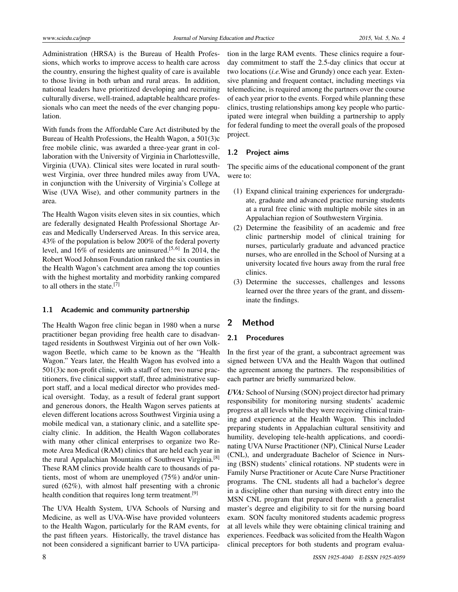Administration (HRSA) is the Bureau of Health Professions, which works to improve access to health care across the country, ensuring the highest quality of care is available to those living in both urban and rural areas. In addition, national leaders have prioritized developing and recruiting culturally diverse, well-trained, adaptable healthcare professionals who can meet the needs of the ever changing population.

With funds from the Affordable Care Act distributed by the Bureau of Health Professions, the Health Wagon, a 501(3)c free mobile clinic, was awarded a three-year grant in collaboration with the University of Virginia in Charlottesville, Virginia (UVA). Clinical sites were located in rural southwest Virginia, over three hundred miles away from UVA, in conjunction with the University of Virginia's College at Wise (UVA Wise), and other community partners in the area.

The Health Wagon visits eleven sites in six counties, which are federally designated Health Professional Shortage Areas and Medically Underserved Areas. In this service area, 43% of the population is below 200% of the federal poverty level, and  $16\%$  of residents are uninsured.<sup>[\[5,](#page-6-4)[6\]](#page-6-5)</sup> In 2014, the Robert Wood Johnson Foundation ranked the six counties in the Health Wagon's catchment area among the top counties with the highest mortality and morbidity ranking compared to all others in the state.[\[7\]](#page-6-6)

#### **1.1 Academic and community partnership**

The Health Wagon free clinic began in 1980 when a nurse practitioner began providing free health care to disadvantaged residents in Southwest Virginia out of her own Volkwagon Beetle, which came to be known as the "Health Wagon." Years later, the Health Wagon has evolved into a 501(3)c non-profit clinic, with a staff of ten; two nurse practitioners, five clinical support staff, three administrative support staff, and a local medical director who provides medical oversight. Today, as a result of federal grant support and generous donors, the Health Wagon serves patients at eleven different locations across Southwest Virginia using a mobile medical van, a stationary clinic, and a satellite specialty clinic. In addition, the Health Wagon collaborates with many other clinical enterprises to organize two Remote Area Medical (RAM) clinics that are held each year in the rural Appalachian Mountains of Southwest Virginia.[\[8\]](#page-6-7) These RAM clinics provide health care to thousands of patients, most of whom are unemployed (75%) and/or uninsured (62%), with almost half presenting with a chronic health condition that requires long term treatment.<sup>[\[9\]](#page-6-8)</sup>

The UVA Health System, UVA Schools of Nursing and Medicine, as well as UVA-Wise have provided volunteers to the Health Wagon, particularly for the RAM events, for the past fifteen years. Historically, the travel distance has not been considered a significant barrier to UVA participation in the large RAM events. These clinics require a fourday commitment to staff the 2.5-day clinics that occur at two locations (*i.e.*Wise and Grundy) once each year. Extensive planning and frequent contact, including meetings via telemedicine, is required among the partners over the course of each year prior to the events. Forged while planning these clinics, trusting relationships among key people who participated were integral when building a partnership to apply for federal funding to meet the overall goals of the proposed project.

#### **1.2 Project aims**

The specific aims of the educational component of the grant were to:

- (1) Expand clinical training experiences for undergraduate, graduate and advanced practice nursing students at a rural free clinic with multiple mobile sites in an Appalachian region of Southwestern Virginia.
- (2) Determine the feasibility of an academic and free clinic partnership model of clinical training for nurses, particularly graduate and advanced practice nurses, who are enrolled in the School of Nursing at a university located five hours away from the rural free clinics.
- (3) Determine the successes, challenges and lessons learned over the three years of the grant, and disseminate the findings.

#### **2 Method**

#### **2.1 Procedures**

In the first year of the grant, a subcontract agreement was signed between UVA and the Health Wagon that outlined the agreement among the partners. The responsibilities of each partner are briefly summarized below.

*UVA:* School of Nursing (SON) project director had primary responsibility for monitoring nursing students' academic progress at all levels while they were receiving clinical training and experience at the Health Wagon. This included preparing students in Appalachian cultural sensitivity and humility, developing tele-health applications, and coordinating UVA Nurse Practitioner (NP), Clinical Nurse Leader (CNL), and undergraduate Bachelor of Science in Nursing (BSN) students' clinical rotations. NP students were in Family Nurse Practitioner or Acute Care Nurse Practitioner programs. The CNL students all had a bachelor's degree in a discipline other than nursing with direct entry into the MSN CNL program that prepared them with a generalist master's degree and eligibility to sit for the nursing board exam. SON faculty monitored students academic progress at all levels while they were obtaining clinical training and experiences. Feedback was solicited from the Health Wagon clinical preceptors for both students and program evalua-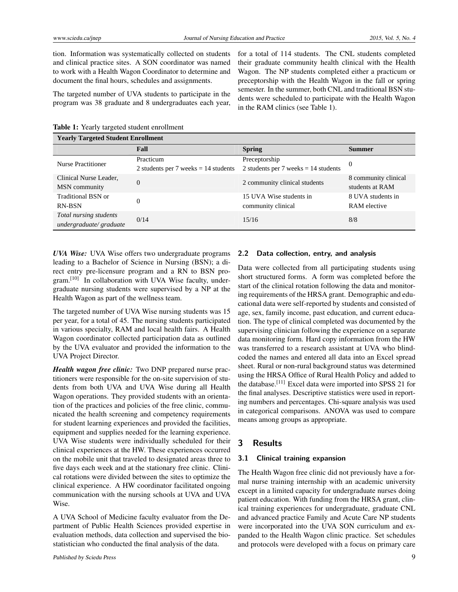tion. Information was systematically collected on students and clinical practice sites. A SON coordinator was named to work with a Health Wagon Coordinator to determine and document the final hours, schedules and assignments.

The targeted number of UVA students to participate in the program was 38 graduate and 8 undergraduates each year, for a total of 114 students. The CNL students completed their graduate community health clinical with the Health Wagon. The NP students completed either a practicum or preceptorship with the Health Wagon in the fall or spring semester. In the summer, both CNL and traditional BSN students were scheduled to participate with the Health Wagon in the RAM clinics (see Table 1).

Table 1: Yearly targeted student enrollment

| <b>Yearly Targeted Student Enrollment</b> |                                        |                                        |                      |  |  |  |
|-------------------------------------------|----------------------------------------|----------------------------------------|----------------------|--|--|--|
|                                           | Fall                                   | <b>Spring</b>                          | <b>Summer</b>        |  |  |  |
| Nurse Practitioner                        | Practicum                              | Preceptorship                          | $\Omega$             |  |  |  |
|                                           | 2 students per 7 weeks $= 14$ students | 2 students per 7 weeks $= 14$ students |                      |  |  |  |
| Clinical Nurse Leader,                    | $\Omega$                               | 2 community clinical students          | 8 community clinical |  |  |  |
| MSN community                             |                                        |                                        | students at RAM      |  |  |  |
| Traditional BSN or                        | $\Omega$                               | 15 UVA Wise students in                | 8 UVA students in    |  |  |  |
| RN-BSN                                    |                                        | community clinical                     | RAM elective         |  |  |  |
| Total nursing students                    | 0/14                                   | 15/16                                  | 8/8                  |  |  |  |
| undergraduate/graduate                    |                                        |                                        |                      |  |  |  |

*UVA Wise:* UVA Wise offers two undergraduate programs leading to a Bachelor of Science in Nursing (BSN); a direct entry pre-licensure program and a RN to BSN pro-gram.<sup>[\[10\]](#page-6-9)</sup> In collaboration with UVA Wise faculty, undergraduate nursing students were supervised by a NP at the Health Wagon as part of the wellness team.

The targeted number of UVA Wise nursing students was 15 per year, for a total of 45. The nursing students participated in various specialty, RAM and local health fairs. A Health Wagon coordinator collected participation data as outlined by the UVA evaluator and provided the information to the UVA Project Director.

*Health wagon free clinic:* Two DNP prepared nurse practitioners were responsible for the on-site supervision of students from both UVA and UVA Wise during all Health Wagon operations. They provided students with an orientation of the practices and policies of the free clinic, communicated the health screening and competency requirements for student learning experiences and provided the facilities, equipment and supplies needed for the learning experience. UVA Wise students were individually scheduled for their clinical experiences at the HW. These experiences occurred on the mobile unit that traveled to designated areas three to five days each week and at the stationary free clinic. Clinical rotations were divided between the sites to optimize the clinical experience. A HW coordinator facilitated ongoing communication with the nursing schools at UVA and UVA Wise.

A UVA School of Medicine faculty evaluator from the Department of Public Health Sciences provided expertise in evaluation methods, data collection and supervised the biostatistician who conducted the final analysis of the data.

#### **2.2 Data collection, entry, and analysis**

Data were collected from all participating students using short structured forms. A form was completed before the start of the clinical rotation following the data and monitoring requirements of the HRSA grant. Demographic and educational data were self-reported by students and consisted of age, sex, family income, past education, and current education. The type of clinical completed was documented by the supervising clinician following the experience on a separate data monitoring form. Hard copy information from the HW was transferred to a research assistant at UVA who blindcoded the names and entered all data into an Excel spread sheet. Rural or non-rural background status was determined using the HRSA Office of Rural Health Policy and added to the database.[\[11\]](#page-6-10) Excel data were imported into SPSS 21 for the final analyses. Descriptive statistics were used in reporting numbers and percentages. Chi-square analysis was used in categorical comparisons. ANOVA was used to compare means among groups as appropriate.

#### **3 Results**

#### **3.1 Clinical training expansion**

The Health Wagon free clinic did not previously have a formal nurse training internship with an academic university except in a limited capacity for undergraduate nurses doing patient education. With funding from the HRSA grant, clinical training experiences for undergraduate, graduate CNL and advanced practice Family and Acute Care NP students were incorporated into the UVA SON curriculum and expanded to the Health Wagon clinic practice. Set schedules and protocols were developed with a focus on primary care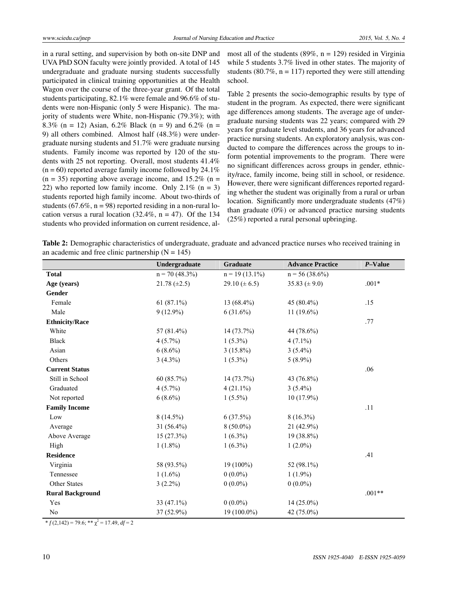in a rural setting, and supervision by both on-site DNP and UVA PhD SON faculty were jointly provided. A total of 145 undergraduate and graduate nursing students successfully participated in clinical training opportunities at the Health Wagon over the course of the three-year grant. Of the total students participating, 82.1% were female and 96.6% of students were non-Hispanic (only 5 were Hispanic). The majority of students were White, non-Hispanic (79.3%); with 8.3% (n = 12) Asian, 6.2% Black (n = 9) and 6.2% (n = 9) all others combined. Almost half (48.3%) were undergraduate nursing students and 51.7% were graduate nursing students. Family income was reported by 120 of the students with 25 not reporting. Overall, most students 41.4%  $(n = 60)$  reported average family income followed by 24.1%  $(n = 35)$  reporting above average income, and 15.2%  $(n = 15)$ 22) who reported low family income. Only 2.1%  $(n = 3)$ students reported high family income. About two-thirds of students (67.6%,  $n = 98$ ) reported residing in a non-rural location versus a rural location (32.4%,  $n = 47$ ). Of the 134 students who provided information on current residence, al-

most all of the students (89%,  $n = 129$ ) resided in Virginia while 5 students 3.7% lived in other states. The majority of students (80.7%,  $n = 117$ ) reported they were still attending school.

Table 2 presents the socio-demographic results by type of student in the program. As expected, there were significant age differences among students. The average age of undergraduate nursing students was 22 years; compared with 29 years for graduate level students, and 36 years for advanced practice nursing students. An exploratory analysis, was conducted to compare the differences across the groups to inform potential improvements to the program. There were no significant differences across groups in gender, ethnicity/race, family income, being still in school, or residence. However, there were significant differences reported regarding whether the student was originally from a rural or urban location. Significantly more undergraduate students (47%) than graduate (0%) or advanced practice nursing students (25%) reported a rural personal upbringing.

Table 2: Demographic characteristics of undergraduate, graduate and advanced practice nurses who received training in an academic and free clinic partnership  $(N = 145)$ 

|                         | Undergraduate     | Graduate           | <b>Advance Practice</b> | P-Value  |
|-------------------------|-------------------|--------------------|-------------------------|----------|
| <b>Total</b>            | $n = 70(48.3\%)$  | $n = 19(13.1\%)$   | $n = 56(38.6\%)$        |          |
| Age (years)             | $21.78 (\pm 2.5)$ | 29.10 ( $\pm$ 6.5) | 35.83 ( $\pm$ 9.0)      | $.001*$  |
| Gender                  |                   |                    |                         |          |
| Female                  | $61(87.1\%)$      | 13 (68.4%)         | 45 (80.4%)              | .15      |
| Male                    | $9(12.9\%)$       | $6(31.6\%)$        | $11(19.6\%)$            |          |
| <b>Ethnicity/Race</b>   |                   |                    |                         | .77      |
| White                   | 57 (81.4%)        | $14(73.7\%)$       | 44 (78.6%)              |          |
| <b>Black</b>            | $4(5.7\%)$        | $1(5.3\%)$         | $4(7.1\%)$              |          |
| Asian                   | $6(8.6\%)$        | $3(15.8\%)$        | $3(5.4\%)$              |          |
| Others                  | $3(4.3\%)$        | $1(5.3\%)$         | $5(8.9\%)$              |          |
| <b>Current Status</b>   |                   |                    |                         | .06      |
| Still in School         | 60 (85.7%)        | 14(73.7%)          | 43 (76.8%)              |          |
| Graduated               | $4(5.7\%)$        | $4(21.1\%)$        | $3(5.4\%)$              |          |
| Not reported            | $6(8.6\%)$        | $1(5.5\%)$         | $10(17.9\%)$            |          |
| <b>Family Income</b>    |                   |                    |                         | .11      |
| Low                     | $8(14.5\%)$       | 6(37.5%)           | $8(16.3\%)$             |          |
| Average                 | $31(56.4\%)$      | $8(50.0\%)$        | 21 (42.9%)              |          |
| Above Average           | 15(27.3%)         | $1(6.3\%)$         | 19 (38.8%)              |          |
| High                    | $1(1.8\%)$        | $1(6.3\%)$         | $1(2.0\%)$              |          |
| <b>Residence</b>        |                   |                    |                         | .41      |
| Virginia                | 58 (93.5%)        | $19(100\%)$        | 52 (98.1%)              |          |
| Tennessee               | $1(1.6\%)$        | $0(0.0\%)$         | $1(1.9\%)$              |          |
| Other States            | $3(2.2\%)$        | $0(0.0\%)$         | $0(0.0\%)$              |          |
| <b>Rural Background</b> |                   |                    |                         | $.001**$ |
| Yes                     | 33 $(47.1\%)$     | $0(0.0\%)$         | $14(25.0\%)$            |          |
| No                      | 37 (52.9%)        | 19 (100.0%)        | 42 (75.0%)              |          |

 $* f(2,142) = 79.6$ ;  $** \chi^2 = 17.49$ ,  $df = 2$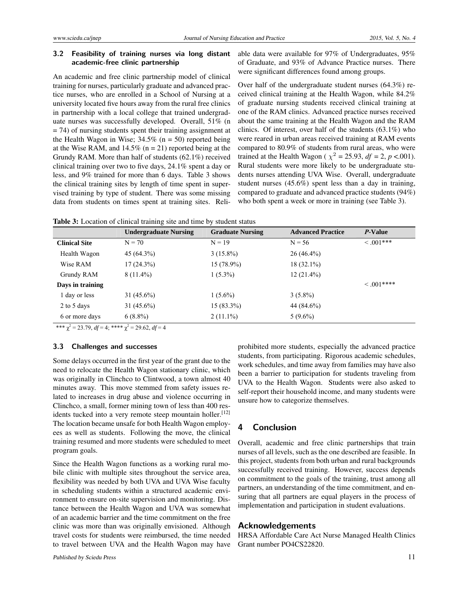#### **3.2 Feasibility of training nurses via long distant academic-free clinic partnership**

An academic and free clinic partnership model of clinical training for nurses, particularly graduate and advanced practice nurses, who are enrolled in a School of Nursing at a university located five hours away from the rural free clinics in partnership with a local college that trained undergraduate nurses was successfully developed. Overall, 51% (n  $=$  74) of nursing students spent their training assignment at the Health Wagon in Wise;  $34.5\%$  (n = 50) reported being at the Wise RAM, and  $14.5\%$  (n = 21) reported being at the Grundy RAM. More than half of students (62.1%) received clinical training over two to five days, 24.1% spent a day or less, and 9% trained for more than 6 days. Table 3 shows the clinical training sites by length of time spent in supervised training by type of student. There was some missing data from students on times spent at training sites. Reliable data were available for 97% of Undergraduates, 95% of Graduate, and 93% of Advance Practice nurses. There were significant differences found among groups.

Over half of the undergraduate student nurses (64.3%) received clinical training at the Health Wagon, while 84.2% of graduate nursing students received clinical training at one of the RAM clinics. Advanced practice nurses received about the same training at the Health Wagon and the RAM clinics. Of interest, over half of the students  $(63.1\%)$  who were reared in urban areas received training at RAM events compared to 80.9% of students from rural areas, who were trained at the Health Wagon ( $\chi^2 = 25.93$ ,  $df = 2$ ,  $p < .001$ ). Rural students were more likely to be undergraduate students nurses attending UVA Wise. Overall, undergraduate student nurses (45.6%) spent less than a day in training, compared to graduate and advanced practice students (94%) who both spent a week or more in training (see Table 3).

|  |  |  |  | Table 3: Location of clinical training site and time by student status |
|--|--|--|--|------------------------------------------------------------------------|
|  |  |  |  |                                                                        |

|                      | <b>Undergraduate Nursing</b> | <b>Graduate Nursing</b> | <b>Advanced Practice</b> | <i>P</i> -Value |
|----------------------|------------------------------|-------------------------|--------------------------|-----------------|
| <b>Clinical Site</b> | $N = 70$                     | $N = 19$                | $N = 56$                 | $\leq .001***$  |
| Health Wagon         | $45(64.3\%)$                 | $3(15.8\%)$             | $26(46.4\%)$             |                 |
| Wise RAM             | $17(24.3\%)$                 | 15 (78.9%)              | $18(32.1\%)$             |                 |
| Grundy RAM           | $8(11.4\%)$                  | $1(5.3\%)$              | $12(21.4\%)$             |                 |
| Days in training     |                              |                         |                          | $\leq .001***$  |
| 1 day or less        | $31(45.6\%)$                 | $1(5.6\%)$              | $3(5.8\%)$               |                 |
| 2 to 5 days          | $31(45.6\%)$                 | $15(83.3\%)$            | 44 (84.6%)               |                 |
| 6 or more days       | $6(8.8\%)$                   | $2(11.1\%)$             | $5(9.6\%)$               |                 |

\*\*\*  $\chi^2$  = 23.79, *df* = 4; \*\*\*\*  $\chi^2$  = 29.62, *df* = 4

#### **3.3 Challenges and successes**

Some delays occurred in the first year of the grant due to the need to relocate the Health Wagon stationary clinic, which was originally in Clinchco to Clintwood, a town almost 40 minutes away. This move stemmed from safety issues related to increases in drug abuse and violence occurring in Clinchco, a small, former mining town of less than 400 res-idents tucked into a very remote steep mountain holler.<sup>[\[12\]](#page-6-11)</sup> The location became unsafe for both Health Wagon employees as well as students. Following the move, the clinical training resumed and more students were scheduled to meet program goals.

Since the Health Wagon functions as a working rural mobile clinic with multiple sites throughout the service area, flexibility was needed by both UVA and UVA Wise faculty in scheduling students within a structured academic environment to ensure on-site supervision and monitoring. Distance between the Health Wagon and UVA was somewhat of an academic barrier and the time commitment on the free clinic was more than was originally envisioned. Although travel costs for students were reimbursed, the time needed to travel between UVA and the Health Wagon may have

Published by Sciedu Press 11

prohibited more students, especially the advanced practice students, from participating. Rigorous academic schedules, work schedules, and time away from families may have also been a barrier to participation for students traveling from UVA to the Health Wagon. Students were also asked to self-report their household income, and many students were unsure how to categorize themselves.

#### **4 Conclusion**

Overall, academic and free clinic partnerships that train nurses of all levels, such as the one described are feasible. In this project, students from both urban and rural backgrounds successfully received training. However, success depends on commitment to the goals of the training, trust among all partners, an understanding of the time commitment, and ensuring that all partners are equal players in the process of implementation and participation in student evaluations.

#### **Acknowledgements**

HRSA Affordable Care Act Nurse Managed Health Clinics Grant number PO4CS22820.